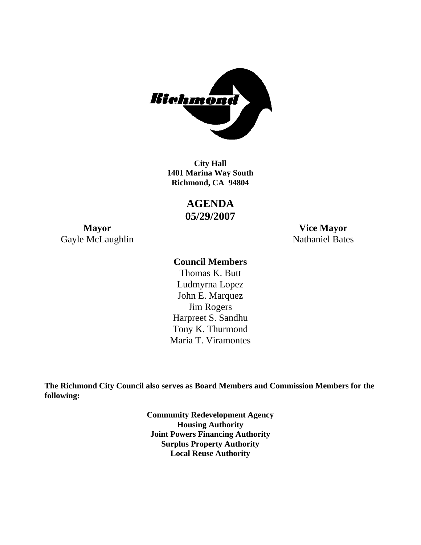

**1401 Marina Way South Richmond, CA 94804 City Hall** 

> **AGENDA 05/29/2007**

Gayle McLaughlin Nathaniel Bates

**Mayor Vice Mayor** 

### **Council Members**

Harpreet S. Sandhu Tony K. Thurmond Maria T. Viramontes Thomas K. Butt Ludmyrna Lopez John E. Marquez Jim Rogers

**The Richmond City Council also serves as Board Members and Commission Members for the following:** 

> **Community Redevelopment Agency Housing Authority Joint Powers Financing Authority Surplus Property Authority Local Reuse Authority**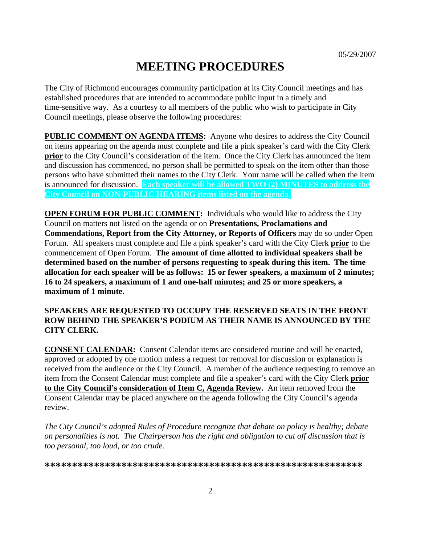# **MEETING PROCEDURES**

The City of Richmond encourages community participation at its City Council meetings and has established procedures that are intended to accommodate public input in a timely and time-sensitive way. As a courtesy to all members of the public who wish to participate in City Council meetings, please observe the following procedures:

**PUBLIC COMMENT ON AGENDA ITEMS:** Anyone who desires to address the City Council on items appearing on the agenda must complete and file a pink speaker's card with the City Clerk **prior** to the City Council's consideration of the item. Once the City Clerk has announced the item and discussion has commenced, no person shall be permitted to speak on the item other than those persons who have submitted their names to the City Clerk. Your name will be called when the item is announced for discussion. **Each speaker will be allowed TWO (2) MINUTES to address the City Council on NON-PUBLIC HEARING items listed on the agenda.** 

**OPEN FORUM FOR PUBLIC COMMENT:** Individuals who would like to address the City Council on matters not listed on the agenda or on **Presentations, Proclamations and Commendations, Report from the City Attorney, or Reports of Officers** may do so under Open Forum. All speakers must complete and file a pink speaker's card with the City Clerk **prior** to the commencement of Open Forum. **The amount of time allotted to individual speakers shall be determined based on the number of persons requesting to speak during this item. The time allocation for each speaker will be as follows: 15 or fewer speakers, a maximum of 2 minutes; 16 to 24 speakers, a maximum of 1 and one-half minutes; and 25 or more speakers, a maximum of 1 minute.** 

#### **SPEAKERS ARE REQUESTED TO OCCUPY THE RESERVED SEATS IN THE FRONT ROW BEHIND THE SPEAKER'S PODIUM AS THEIR NAME IS ANNOUNCED BY THE CITY CLERK.**

**CONSENT CALENDAR:** Consent Calendar items are considered routine and will be enacted, approved or adopted by one motion unless a request for removal for discussion or explanation is received from the audience or the City Council. A member of the audience requesting to remove an item from the Consent Calendar must complete and file a speaker's card with the City Clerk **prior to the City Council's consideration of Item C, Agenda Review.** An item removed from the Consent Calendar may be placed anywhere on the agenda following the City Council's agenda review.

*The City Council's adopted Rules of Procedure recognize that debate on policy is healthy; debate on personalities is not. The Chairperson has the right and obligation to cut off discussion that is too personal, too loud, or too crude.* 

**\*\*\*\*\*\*\*\*\*\*\*\*\*\*\*\*\*\*\*\*\*\*\*\*\*\*\*\*\*\*\*\*\*\*\*\*\*\*\*\*\*\*\*\*\*\*\*\*\*\*\*\*\*\*\*\*\*\***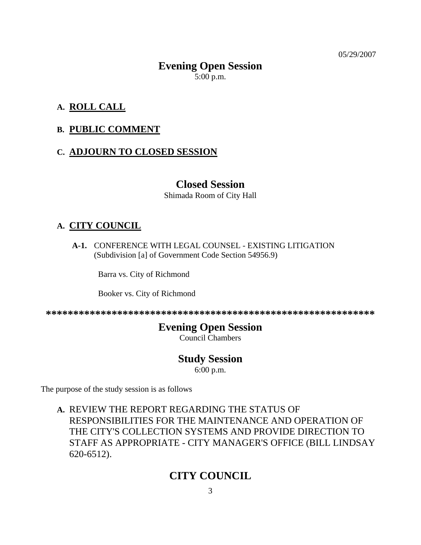05/29/2007

# **Evening Open Session**  5:00 p.m.

# **A. ROLL CALL**

### **B. PUBLIC COMMENT**

### **C. ADJOURN TO CLOSED SESSION**

#### **Closed Session**

Shimada Room of City Hall

### **A. CITY COUNCIL**

 **A-1.** CONFERENCE WITH LEGAL COUNSEL - EXISTING LITIGATION (Subdivision [a] of Government Code Section 54956.9)

Barra vs. City of Richmond

Booker vs. City of Richmond

**\*\*\*\*\*\*\*\*\*\*\*\*\*\*\*\*\*\*\*\*\*\*\*\*\*\*\*\*\*\*\*\*\*\*\*\*\*\*\*\*\*\*\*\*\*\*\*\*\*\*\*\*\*\*\*\*\*\*\*\*** 

# **Evening Open Session**

Council Chambers

### **Study Session**

6:00 p.m.

The purpose of the study session is as follows

**A.** REVIEW THE REPORT REGARDING THE STATUS OF RESPONSIBILITIES FOR THE MAINTENANCE AND OPERATION OF THE CITY'S COLLECTION SYSTEMS AND PROVIDE DIRECTION TO STAFF AS APPROPRIATE - CITY MANAGER'S OFFICE (BILL LINDSAY 620-6512).

# **CITY COUNCIL**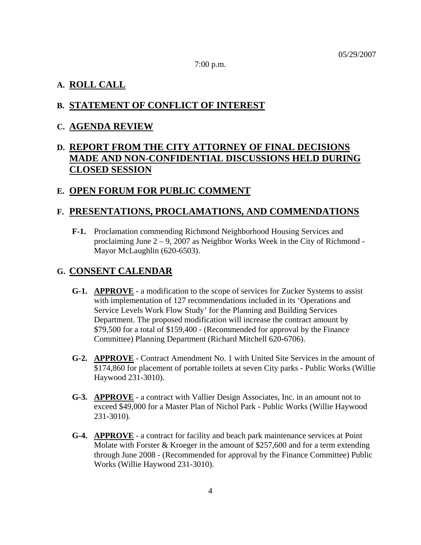7:00 p.m.

#### **A. ROLL CALL**

#### **B. STATEMENT OF CONFLICT OF INTEREST**

#### **C. AGENDA REVIEW**

# **D. REPORT FROM THE CITY ATTORNEY OF FINAL DECISIONS MADE AND NON-CONFIDENTIAL DISCUSSIONS HELD DURING CLOSED SESSION**

#### **E. OPEN FORUM FOR PUBLIC COMMENT**

#### **F. PRESENTATIONS, PROCLAMATIONS, AND COMMENDATIONS**

 **F-1.** Proclamation commending Richmond Neighborhood Housing Services and proclaiming June 2 – 9, 2007 as Neighbor Works Week in the City of Richmond - Mayor McLaughlin (620-6503).

#### **G. CONSENT CALENDAR**

- **G-1. APPROVE** a modification to the scope of services for Zucker Systems to assist with implementation of 127 recommendations included in its 'Operations and Service Levels Work Flow Study' for the Planning and Building Services Department. The proposed modification will increase the contract amount by \$79,500 for a total of \$159,400 - (Recommended for approval by the Finance Committee) Planning Department (Richard Mitchell 620-6706).
- **G-2. APPROVE** Contract Amendment No. 1 with United Site Services in the amount of \$174,860 for placement of portable toilets at seven City parks - Public Works (Willie Haywood 231-3010).
- **G-3. APPROVE** a contract with Vallier Design Associates, Inc. in an amount not to exceed \$49,000 for a Master Plan of Nichol Park - Public Works (Willie Haywood 231-3010).
- **G-4. APPROVE** a contract for facility and beach park maintenance services at Point Molate with Forster & Kroeger in the amount of \$257,600 and for a term extending through June 2008 - (Recommended for approval by the Finance Committee) Public Works (Willie Haywood 231-3010).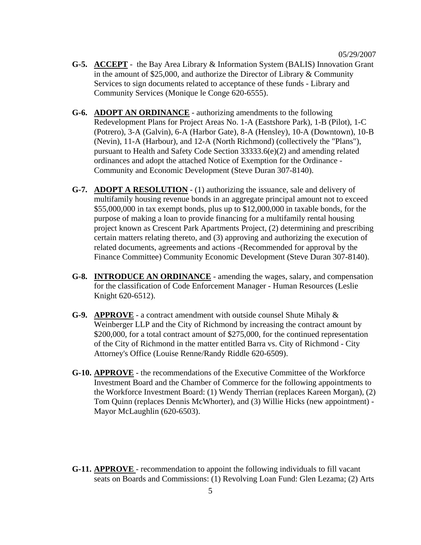- **G-5. ACCEPT** the Bay Area Library & Information System (BALIS) Innovation Grant in the amount of \$25,000, and authorize the Director of Library & Community Services to sign documents related to acceptance of these funds - Library and Community Services (Monique le Conge 620-6555).
- **G-6. ADOPT AN ORDINANCE** authorizing amendments to the following Redevelopment Plans for Project Areas No. 1-A (Eastshore Park), 1-B (Pilot), 1-C (Potrero), 3-A (Galvin), 6-A (Harbor Gate), 8-A (Hensley), 10-A (Downtown), 10-B (Nevin), 11-A (Harbour), and 12-A (North Richmond) (collectively the "Plans"), pursuant to Health and Safety Code Section 33333.6(e)(2) and amending related ordinances and adopt the attached Notice of Exemption for the Ordinance - Community and Economic Development (Steve Duran 307-8140).
- **G-7. ADOPT A RESOLUTION** (1) authorizing the issuance, sale and delivery of multifamily housing revenue bonds in an aggregate principal amount not to exceed \$55,000,000 in tax exempt bonds, plus up to \$12,000,000 in taxable bonds, for the purpose of making a loan to provide financing for a multifamily rental housing project known as Crescent Park Apartments Project, (2) determining and prescribing certain matters relating thereto, and (3) approving and authorizing the execution of related documents, agreements and actions -(Recommended for approval by the Finance Committee) Community Economic Development (Steve Duran 307-8140).
- **G-8. INTRODUCE AN ORDINANCE** amending the wages, salary, and compensation for the classification of Code Enforcement Manager - Human Resources (Leslie Knight 620-6512).
- **G-9. APPROVE** a contract amendment with outside counsel Shute Mihaly & Weinberger LLP and the City of Richmond by increasing the contract amount by \$200,000, for a total contract amount of \$275,000, for the continued representation of the City of Richmond in the matter entitled Barra vs. City of Richmond - City Attorney's Office (Louise Renne/Randy Riddle 620-6509).
- **G-10. APPROVE** the recommendations of the Executive Committee of the Workforce Investment Board and the Chamber of Commerce for the following appointments to the Workforce Investment Board: (1) Wendy Therrian (replaces Kareen Morgan), (2) Tom Quinn (replaces Dennis McWhorter), and (3) Willie Hicks (new appointment) - Mayor McLaughlin (620-6503).
- **G-11. APPROVE**  recommendation to appoint the following individuals to fill vacant seats on Boards and Commissions: (1) Revolving Loan Fund: Glen Lezama; (2) Arts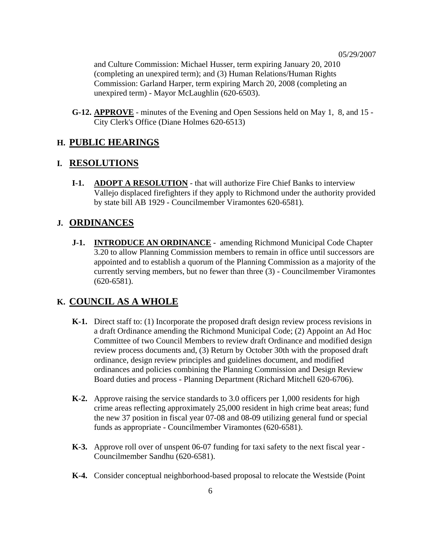and Culture Commission: Michael Husser, term expiring January 20, 2010 (completing an unexpired term); and (3) Human Relations/Human Rights Commission: Garland Harper, term expiring March 20, 2008 (completing an unexpired term) - Mayor McLaughlin (620-6503).

 **G-12. APPROVE** - minutes of the Evening and Open Sessions held on May 1, 8, and 15 - City Clerk's Office (Diane Holmes 620-6513)

#### **H. PUBLIC HEARINGS**

#### **I. RESOLUTIONS**

 **I-1. ADOPT A RESOLUTION** - that will authorize Fire Chief Banks to interview Vallejo displaced firefighters if they apply to Richmond under the authority provided by state bill AB 1929 - Councilmember Viramontes 620-6581).

#### **J. ORDINANCES**

 **J-1. INTRODUCE AN ORDINANCE** - amending Richmond Municipal Code Chapter 3.20 to allow Planning Commission members to remain in office until successors are appointed and to establish a quorum of the Planning Commission as a majority of the currently serving members, but no fewer than three (3) - Councilmember Viramontes (620-6581).

#### **K. COUNCIL AS A WHOLE**

- **K-1.** Direct staff to: (1) Incorporate the proposed draft design review process revisions in a draft Ordinance amending the Richmond Municipal Code; (2) Appoint an Ad Hoc Committee of two Council Members to review draft Ordinance and modified design review process documents and, (3) Return by October 30th with the proposed draft ordinance, design review principles and guidelines document, and modified ordinances and policies combining the Planning Commission and Design Review Board duties and process - Planning Department (Richard Mitchell 620-6706).
- **K-2.** Approve raising the service standards to 3.0 officers per 1,000 residents for high crime areas reflecting approximately 25,000 resident in high crime beat areas; fund the new 37 position in fiscal year 07-08 and 08-09 utilizing general fund or special funds as appropriate - Councilmember Viramontes (620-6581).
- **K-3.** Approve roll over of unspent 06-07 funding for taxi safety to the next fiscal year Councilmember Sandhu (620-6581).
- **K-4.** Consider conceptual neighborhood-based proposal to relocate the Westside (Point